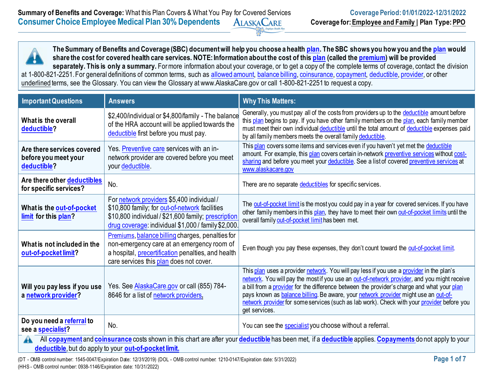**The Summary of Benefits and Coverage (SBC) document will help you choose a health [plan.](https://www.healthcare.gov/sbc-glossary/#plan) The SBC shows you how you and the [plan](https://www.healthcare.gov/sbc-glossary/#plan) would share the cost for covered health care services. NOTE: Information about the cost of this [plan](https://www.healthcare.gov/sbc-glossary/#plan) (called the [premium\)](https://www.healthcare.gov/sbc-glossary/#premium) will be provided**  separately. This is only a summary. For more information about your coverage, or to get a copy of the complete terms of coverage, contact the division at 1-800-821-2251. For general definitions of common terms, such as [allowed amount,](https://www.healthcare.gov/sbc-glossary/#allowed-amount) [balance billing,](https://www.healthcare.gov/sbc-glossary/#balance-billing) [coinsurance,](https://www.healthcare.gov/sbc-glossary/#coinsurance) [copayment,](https://www.healthcare.gov/sbc-glossary/#copayment) [deductible,](https://www.healthcare.gov/sbc-glossary/#deductible) [provider,](https://www.healthcare.gov/sbc-glossary/#provider) or other underlined terms, see the Glossary. You can view the Glossary at [www.A](http://www/)laskaCare.gov or call 1-800-821-2251 to request a copy.

| <b>Important Questions</b>                                        | <b>Answers</b>                                                                                                                                                                                             | <b>Why This Matters:</b>                                                                                                                                                                                                                                                                                                                                                                                                                                                                    |  |
|-------------------------------------------------------------------|------------------------------------------------------------------------------------------------------------------------------------------------------------------------------------------------------------|---------------------------------------------------------------------------------------------------------------------------------------------------------------------------------------------------------------------------------------------------------------------------------------------------------------------------------------------------------------------------------------------------------------------------------------------------------------------------------------------|--|
| What is the overall<br>deductible?                                | \$2,400/individual or \$4,800/family - The balance<br>of the HRA account will be applied towards the<br>deductible first before you must pay.                                                              | Generally, you must pay all of the costs from providers up to the deductible amount before<br>this plan begins to pay. If you have other family members on the plan, each family member<br>must meet their own individual deductible until the total amount of deductible expenses paid<br>by all family members meets the overall family deductible.                                                                                                                                       |  |
| Are there services covered<br>before you meet your<br>deductible? | Yes. Preventive care services with an in-<br>network provider are covered before you meet<br>your deductible.                                                                                              | This plan covers some items and services even if you haven't yet met the deductible<br>amount. For example, this plan covers certain in-network preventive services without cost-<br>sharing and before you meet your deductible. See a list of covered preventive services at<br>www.alaskacare.gov                                                                                                                                                                                        |  |
| Are there other deductibles<br>for specific services?             | No.                                                                                                                                                                                                        | There are no separate deductibles for specific services.                                                                                                                                                                                                                                                                                                                                                                                                                                    |  |
| What is the out-of-pocket<br>limit for this plan?                 | For network providers \$5,400 individual /<br>\$10,800 family; for out-of-network facilities<br>\$10,800 individual / \$21,600 family; prescription<br>drug coverage: individual \$1,000 / family \$2,000. | The out-of-pocket limit is the most you could pay in a year for covered services. If you have<br>other family members in this plan, they have to meet their own out-of-pocket limits until the<br>overall family out-of-pocket limit has been met.                                                                                                                                                                                                                                          |  |
| What is not included in the<br>out-of-pocket limit?               | Premiums, balance billing charges, penalties for<br>non-emergency care at an emergency room of<br>a hospital, precertification penalties, and health<br>care services this plan does not cover.            | Even though you pay these expenses, they don't count toward the out-of-pocket limit.                                                                                                                                                                                                                                                                                                                                                                                                        |  |
| Will you pay less if you use<br>a network provider?               | Yes. See <b>AlaskaCare.gov</b> or call (855) 784-<br>8646 for a list of network providers.                                                                                                                 | This plan uses a provider network. You will pay less if you use a provider in the plan's<br>network. You will pay the most if you use an out-of-network provider, and you might receive<br>a bill from a provider for the difference between the provider's charge and what your plan<br>pays known as balance billing. Be aware, your network provider might use an out-of-<br>network provider for some services (such as lab work). Check with your provider before you<br>get services. |  |
| Do you need a referral to<br>see a specialist?                    | No.                                                                                                                                                                                                        | You can see the specialist you choose without a referral.                                                                                                                                                                                                                                                                                                                                                                                                                                   |  |
| A                                                                 |                                                                                                                                                                                                            | All <b>copayment</b> and <b>coinsurance</b> costs shown in this chart are after your <b>deductible</b> has been met, if a <b>deductible</b> applies. Copayments do not apply to your                                                                                                                                                                                                                                                                                                        |  |

**[deductible](https://www.healthcare.gov/sbc-glossary/#deductible)**, but do apply to your **[out-of-pocket limit.](https://www.healthcare.gov/sbc-glossary/#out-of-pocket-limit)**

(DT - OMB control number: 1545-0047/Expiration Date: 12/31/2019) (DOL - OMB control number: 1210-0147/Expiration date: 5/31/2022) **Page 1 of 7** (HHS - OMB control number: 0938-1146/Expiration date: 10/31/2022)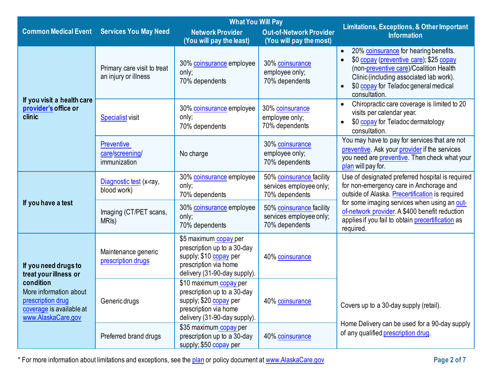|                                                                                                            |                                                      | <b>What You Will Pay</b>                                                                                                                 |                                                                       |                                                                                                                                                                                                                                              |
|------------------------------------------------------------------------------------------------------------|------------------------------------------------------|------------------------------------------------------------------------------------------------------------------------------------------|-----------------------------------------------------------------------|----------------------------------------------------------------------------------------------------------------------------------------------------------------------------------------------------------------------------------------------|
| <b>Common Medical Event</b>                                                                                | <b>Services You May Need</b>                         | <b>Network Provider</b>                                                                                                                  | <b>Out-of-Network Provider</b>                                        | <b>Limitations, Exceptions, &amp; Other Important</b><br><b>Information</b>                                                                                                                                                                  |
|                                                                                                            |                                                      | (You will pay the least)                                                                                                                 | (You will pay the most)                                               |                                                                                                                                                                                                                                              |
|                                                                                                            | Primary care visit to treat<br>an injury or illness  | 30% coinsurance employee<br>only;<br>70% dependents                                                                                      | 30% coinsurance<br>employee only;<br>70% dependents                   | 20% coinsurance for hearing benefits.<br>$\bullet$<br>\$0 copay (preventive care); \$25 copay<br>(non-preventive care)/Coalition Health<br>Clinic (including associated lab work).<br>\$0 copay for Teladoc general medical<br>consultation. |
| If you visit a health care<br>provider's office or<br>clinic                                               | <b>Specialist visit</b>                              | 30% coinsurance employee<br>only;<br>70% dependents                                                                                      | 30% coinsurance<br>employee only;<br>70% dependents                   | Chiropractic care coverage is limited to 20<br>visits per calendar year.<br>\$0 copay for Teladoc dermatology<br>consultation.                                                                                                               |
|                                                                                                            | <b>Preventive</b><br>care/screening/<br>immunization | No charge                                                                                                                                | 30% coinsurance<br>employee only;<br>70% dependents                   | You may have to pay for services that are not<br>preventive. Ask your provider if the services<br>you need are preventive. Then check what your<br>plan will pay for.                                                                        |
|                                                                                                            | Diagnostic test (x-ray,<br>blood work)               | 30% coinsurance employee<br>only;<br>70% dependents                                                                                      | 50% coinsurance facility<br>services employee only;<br>70% dependents | Use of designated preferred hospital is required<br>for non-emergency care in Anchorage and<br>outside of Alaska. Precertification is required                                                                                               |
| If you have a test                                                                                         | Imaging (CT/PET scans,<br>MRI <sub>s</sub> )         | 30% coinsurance employee<br>only;<br>70% dependents                                                                                      | 50% coinsurance facility<br>services employee only;<br>70% dependents | for some imaging services when using an out-<br>of-network provider. A \$400 benefit reduction<br>applies if you fail to obtain precertification as<br>required.                                                                             |
| If you need drugs to<br>treat your illness or                                                              | Maintenance generic<br>prescription drugs            | \$5 maximum copay per<br>prescription up to a 30-day<br>supply; \$10 copay per<br>prescription via home<br>delivery (31-90-day supply).  | 40% coinsurance                                                       |                                                                                                                                                                                                                                              |
| condition<br>More information about<br>prescription drug<br>coverage is available at<br>www.AlaskaCare.gov | Generic drugs                                        | \$10 maximum copay per<br>prescription up to a 30-day<br>supply; \$20 copay per<br>prescription via home<br>delivery (31-90-day supply). | 40% coinsurance                                                       | Covers up to a 30-day supply (retail).                                                                                                                                                                                                       |
|                                                                                                            | Preferred brand drugs                                | \$35 maximum copay per<br>prescription up to a 30-day<br>supply; \$50 copay per                                                          | 40% coinsurance                                                       | Home Delivery can be used for a 90-day supply<br>of any qualified prescription drug.                                                                                                                                                         |

\* For more information about limitations and exceptions, see the [plan](https://www.healthcare.gov/sbc-glossary/#plan) or policy document at [www.AlaskaCare.gov](http://www.alaskacare.gov/) **Page 2 of 7**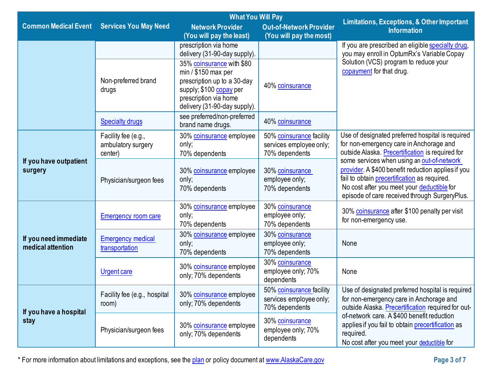|                                                   |                              | <b>What You Will Pay</b>                         |                                   | <b>Limitations, Exceptions, &amp; Other Important</b>                                            |  |
|---------------------------------------------------|------------------------------|--------------------------------------------------|-----------------------------------|--------------------------------------------------------------------------------------------------|--|
| <b>Common Medical Event Services You May Need</b> |                              | <b>Network Provider</b>                          | <b>Out-of-Network Provider</b>    | <b>Information</b>                                                                               |  |
|                                                   |                              | (You will pay the least)                         | (You will pay the most)           |                                                                                                  |  |
|                                                   |                              | prescription via home                            |                                   | If you are prescribed an eligible specialty drug,                                                |  |
|                                                   |                              | delivery (31-90-day supply).                     |                                   | you may enroll in OptumRx's Variable Copay                                                       |  |
|                                                   |                              | 35% coinsurance with \$80                        |                                   | Solution (VCS) program to reduce your                                                            |  |
|                                                   |                              | $min / $150$ max per                             |                                   | copayment for that drug.                                                                         |  |
|                                                   | Non-preferred brand          | prescription up to a 30-day                      | 40% coinsurance                   |                                                                                                  |  |
|                                                   | drugs                        | supply; \$100 copay per<br>prescription via home |                                   |                                                                                                  |  |
|                                                   |                              | delivery (31-90-day supply).                     |                                   |                                                                                                  |  |
|                                                   |                              | see preferred/non-preferred                      |                                   |                                                                                                  |  |
|                                                   | <b>Specialty drugs</b>       | brand name drugs.                                | 40% coinsurance                   |                                                                                                  |  |
|                                                   | Facility fee (e.g.,          | 30% coinsurance employee                         | 50% coinsurance facility          | Use of designated preferred hospital is required                                                 |  |
|                                                   | ambulatory surgery           | only;                                            | services employee only;           | for non-emergency care in Anchorage and                                                          |  |
|                                                   | center)                      | 70% dependents                                   | 70% dependents                    | outside Alaska. Precertification is required for                                                 |  |
| If you have outpatient                            |                              |                                                  |                                   | some services when using an out-of-network<br>provider. A \$400 benefit reduction applies if you |  |
| surgery                                           |                              | 30% coinsurance employee<br>only;                | 30% coinsurance<br>employee only; | fail to obtain precertification as required.                                                     |  |
|                                                   | Physician/surgeon fees       | 70% dependents                                   | 70% dependents                    | No cost after you meet your deductible for                                                       |  |
|                                                   |                              |                                                  |                                   | episode of care received through SurgeryPlus.                                                    |  |
|                                                   |                              | 30% coinsurance employee                         | 30% coinsurance                   |                                                                                                  |  |
|                                                   | <b>Emergency room care</b>   | only;                                            | employee only;                    | 30% coinsurance after \$100 penalty per visit                                                    |  |
|                                                   |                              | 70% dependents                                   | 70% dependents                    | for non-emergency use.                                                                           |  |
| If you need immediate                             | <b>Emergency medical</b>     | 30% coinsurance employee                         | 30% coinsurance                   |                                                                                                  |  |
| medical attention                                 | transportation               | only;                                            | employee only;                    | None                                                                                             |  |
|                                                   |                              | 70% dependents                                   | 70% dependents                    |                                                                                                  |  |
|                                                   |                              | 30% coinsurance employee                         | 30% coinsurance                   |                                                                                                  |  |
|                                                   | <b>Urgent care</b>           | only; 70% dependents                             | employee only; 70%<br>dependents  | None                                                                                             |  |
|                                                   |                              |                                                  | 50% coinsurance facility          | Use of designated preferred hospital is required                                                 |  |
|                                                   | Facility fee (e.g., hospital | 30% coinsurance employee                         | services employee only;           | for non-emergency care in Anchorage and                                                          |  |
|                                                   | room)                        | only; 70% dependents                             | 70% dependents                    | outside Alaska. Precertification required for out-                                               |  |
| If you have a hospital<br>stay                    |                              |                                                  | 30% coinsurance                   | of-network care. A \$400 benefit reduction                                                       |  |
|                                                   | Physician/surgeon fees       | 30% coinsurance employee                         | employee only; 70%                | applies if you fail to obtain precertification as                                                |  |
|                                                   |                              | only; 70% dependents                             | dependents                        | required.                                                                                        |  |
|                                                   |                              |                                                  |                                   | No cost after you meet your deductible for                                                       |  |

\* For more information about limitations and exceptions, see the [plan](https://www.healthcare.gov/sbc-glossary/#plan) or policy document at [www.AlaskaCare.gov](http://www.alaskacare.gov/) **Page 3 of 7**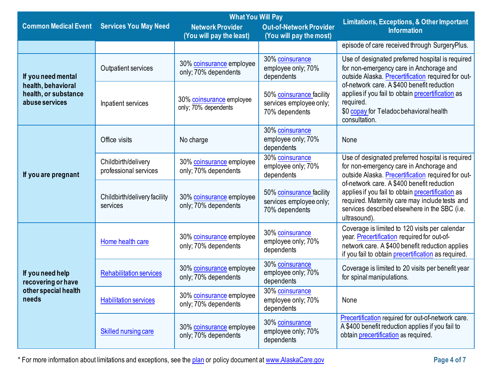|                                                              |                                                                                                                                | <b>What You Will Pay</b>                                                                                                                                                                              |                                                                                                                                                   |                                                                                                                                                                                                                    |  |
|--------------------------------------------------------------|--------------------------------------------------------------------------------------------------------------------------------|-------------------------------------------------------------------------------------------------------------------------------------------------------------------------------------------------------|---------------------------------------------------------------------------------------------------------------------------------------------------|--------------------------------------------------------------------------------------------------------------------------------------------------------------------------------------------------------------------|--|
| <b>Common Medical Event</b>                                  | <b>Services You May Need</b>                                                                                                   | <b>Network Provider</b><br>(You will pay the least)                                                                                                                                                   | <b>Out-of-Network Provider</b><br>(You will pay the most)                                                                                         | Limitations, Exceptions, & Other Important<br><b>Information</b>                                                                                                                                                   |  |
|                                                              |                                                                                                                                |                                                                                                                                                                                                       |                                                                                                                                                   | episode of care received through SurgeryPlus.                                                                                                                                                                      |  |
| If you need mental                                           | 30% coinsurance<br>30% coinsurance employee<br>employee only; 70%<br>Outpatient services<br>only; 70% dependents<br>dependents |                                                                                                                                                                                                       | Use of designated preferred hospital is required<br>for non-emergency care in Anchorage and<br>outside Alaska. Precertification required for out- |                                                                                                                                                                                                                    |  |
| health, behavioral<br>health, or substance<br>abuse services | Inpatient services                                                                                                             | of-network care. A \$400 benefit reduction<br>50% coinsurance facility<br>30% coinsurance employee<br>required.<br>services employee only;<br>only; 70% dependents<br>70% dependents<br>consultation. | applies if you fail to obtain precertification as<br>\$0 copay for Teladoc behavioral health                                                      |                                                                                                                                                                                                                    |  |
|                                                              | Office visits                                                                                                                  | No charge                                                                                                                                                                                             | 30% coinsurance<br>employee only; 70%<br>dependents                                                                                               | None                                                                                                                                                                                                               |  |
| If you are pregnant                                          | Childbirth/delivery<br>professional services                                                                                   | 30% coinsurance<br>30% coinsurance employee<br>employee only; 70%<br>only; 70% dependents<br>dependents                                                                                               | Use of designated preferred hospital is required<br>for non-emergency care in Anchorage and<br>outside Alaska. Precertification required for out- |                                                                                                                                                                                                                    |  |
|                                                              | Childbirth/delivery facility<br>services                                                                                       | 30% coinsurance employee<br>only; 70% dependents                                                                                                                                                      | 50% coinsurance facility<br>services employee only;<br>70% dependents                                                                             | of-network care. A \$400 benefit reduction<br>applies if you fail to obtain precertification as<br>required. Maternity care may include tests and<br>services described elsewhere in the SBC (i.e.<br>ultrasound). |  |
|                                                              | Home health care                                                                                                               | 30% coinsurance employee<br>only; 70% dependents                                                                                                                                                      | 30% coinsurance<br>employee only; 70%<br>dependents                                                                                               | Coverage is limited to 120 visits per calendar<br>year. Precertification required for out-of-<br>network care. A \$400 benefit reduction applies<br>if you fail to obtain precertification as required.            |  |
| If you need help<br>recovering or have                       | <b>Rehabilitation services</b>                                                                                                 | 30% coinsurance employee<br>only; 70% dependents                                                                                                                                                      | 30% coinsurance<br>employee only; 70%<br>dependents                                                                                               | Coverage is limited to 20 visits per benefit year<br>for spinal manipulations.                                                                                                                                     |  |
| other special health<br>needs                                | <b>Habilitation services</b>                                                                                                   | 30% coinsurance employee<br>only; 70% dependents                                                                                                                                                      | 30% coinsurance<br>employee only; 70%<br>dependents                                                                                               | None                                                                                                                                                                                                               |  |
|                                                              | Skilled nursing care                                                                                                           | 30% coinsurance employee<br>only; 70% dependents                                                                                                                                                      | 30% coinsurance<br>employee only; 70%<br>dependents                                                                                               | Precertification required for out-of-network care.<br>A \$400 benefit reduction applies if you fail to<br>obtain precertification as required.                                                                     |  |

\* For more information about limitations and exceptions, see the [plan](https://www.healthcare.gov/sbc-glossary/#plan) or policy document at [www.AlaskaCare.gov](http://www.alaskacare.gov/) **Page 4 of 7**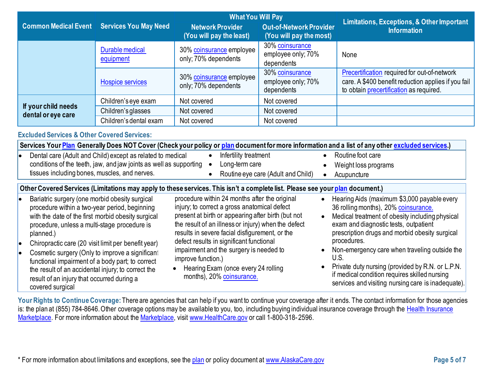|                                                                                                                                                                                                                                                                                                                                                                                                                                                                                                                                                                                                                                       |                              | <b>What You Will Pay</b>                                                                                                                                                                                                                                                                                                                                                                                                                      |                                                           | Limitations, Exceptions, & Other Important                                                                                                                                                                                                                                                                                                                                                                                                                           |  |
|---------------------------------------------------------------------------------------------------------------------------------------------------------------------------------------------------------------------------------------------------------------------------------------------------------------------------------------------------------------------------------------------------------------------------------------------------------------------------------------------------------------------------------------------------------------------------------------------------------------------------------------|------------------------------|-----------------------------------------------------------------------------------------------------------------------------------------------------------------------------------------------------------------------------------------------------------------------------------------------------------------------------------------------------------------------------------------------------------------------------------------------|-----------------------------------------------------------|----------------------------------------------------------------------------------------------------------------------------------------------------------------------------------------------------------------------------------------------------------------------------------------------------------------------------------------------------------------------------------------------------------------------------------------------------------------------|--|
| <b>Common Medical Event</b>                                                                                                                                                                                                                                                                                                                                                                                                                                                                                                                                                                                                           | <b>Services You May Need</b> | <b>Network Provider</b><br>(You will pay the least)                                                                                                                                                                                                                                                                                                                                                                                           | <b>Out-of-Network Provider</b><br>(You will pay the most) | <b>Information</b>                                                                                                                                                                                                                                                                                                                                                                                                                                                   |  |
|                                                                                                                                                                                                                                                                                                                                                                                                                                                                                                                                                                                                                                       | Durable medical<br>equipment | 30% coinsurance employee<br>only; 70% dependents                                                                                                                                                                                                                                                                                                                                                                                              | 30% coinsurance<br>employee only; 70%<br>dependents       | None                                                                                                                                                                                                                                                                                                                                                                                                                                                                 |  |
|                                                                                                                                                                                                                                                                                                                                                                                                                                                                                                                                                                                                                                       | <b>Hospice services</b>      | 30% coinsurance employee<br>only; 70% dependents                                                                                                                                                                                                                                                                                                                                                                                              | 30% coinsurance<br>employee only; 70%<br>dependents       | Precertification required for out-of-network<br>care. A \$400 benefit reduction applies if you fail<br>to obtain precertification as required.                                                                                                                                                                                                                                                                                                                       |  |
|                                                                                                                                                                                                                                                                                                                                                                                                                                                                                                                                                                                                                                       | Children's eye exam          | Not covered                                                                                                                                                                                                                                                                                                                                                                                                                                   | Not covered                                               |                                                                                                                                                                                                                                                                                                                                                                                                                                                                      |  |
| If your child needs<br>dental or eye care                                                                                                                                                                                                                                                                                                                                                                                                                                                                                                                                                                                             | Children's glasses           | Not covered                                                                                                                                                                                                                                                                                                                                                                                                                                   | Not covered                                               |                                                                                                                                                                                                                                                                                                                                                                                                                                                                      |  |
|                                                                                                                                                                                                                                                                                                                                                                                                                                                                                                                                                                                                                                       | Children's dental exam       | Not covered                                                                                                                                                                                                                                                                                                                                                                                                                                   | Not covered                                               |                                                                                                                                                                                                                                                                                                                                                                                                                                                                      |  |
| Services Your Plan Generally Does NOT Cover (Check your policy or plan document for more information and a list of any other excluded services.)<br>Routine foot care<br>Dental care (Adult and Child) except as related to medical<br>Infertility treatment<br>$\bullet$<br>le<br>conditions of the teeth, jaw, and jaw joints as well as supporting<br>Long-term care<br>Weight loss programs<br>tissues including bones, muscles, and nerves.<br>Routine eye care (Adult and Child)<br>Acupuncture<br>Other Covered Services (Limitations may apply to these services. This isn't a complete list. Please see your plan document.) |                              |                                                                                                                                                                                                                                                                                                                                                                                                                                               |                                                           |                                                                                                                                                                                                                                                                                                                                                                                                                                                                      |  |
| Bariatric surgery (one morbid obesity surgical<br>le<br>procedure within a two-year period, beginning<br>with the date of the first morbid obesity surgical<br>procedure, unless a multi-stage procedure is<br>planned.)<br>Chiropractic care (20 visit limit per benefit year)<br>lo<br>Cosmetic surgery (Only to improve a significan<br>le.<br>functional impairment of a body part; to correct<br>the result of an accidental injury; to correct the<br>result of an injury that occurred during a<br>covered surgical                                                                                                            |                              | procedure within 24 months after the original<br>injury; to correct a gross anatomical defect<br>present at birth or appearing after birth (but not<br>the result of an illness or injury) when the defect<br>results in severe facial disfigurement, or the<br>defect results in significant functional<br>impairment and the surgery is needed to<br>improve function.)<br>Hearing Exam (once every 24 rolling<br>months), 20% coinsurance. |                                                           | Hearing Aids (maximum \$3,000 payable every<br>36 rolling months), 20% coinsurance.<br>Medical treatment of obesity including physical<br>exam and diagnostic tests, outpatient<br>prescription drugs and morbid obesity surgical<br>procedures.<br>Non-emergency care when traveling outside the<br>U.S.<br>Private duty nursing (provided by R.N. or L.P.N.<br>if medical condition requires skilled nursing<br>services and visiting nursing care is inadequate). |  |

**Your Rights to Continue Coverage:** There are agencies that can help if you want to continue your coverage after it ends. The contact information for those agencies is: the plan at (855) 784-8646. Other coverage options may be available to you, too, including buying individual insurance coverage through the [Health Insurance](https://www.healthcare.gov/sbc-glossary/#health-insurance) [Marketplace.](https://www.healthcare.gov/sbc-glossary/#marketplace) For more information about th[e Marketplace,](https://www.healthcare.gov/sbc-glossary/#marketplace) visit [www.HealthCare.gov](http://www.healthcare.gov/) or call 1-800-318-2596.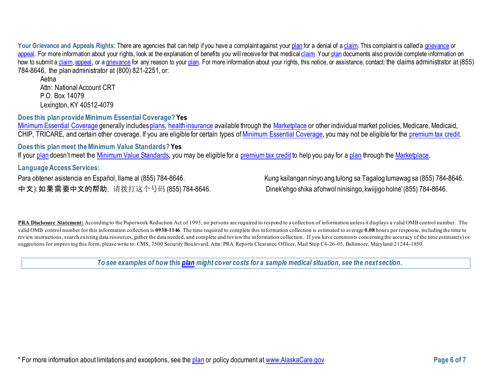Your Grievance and Appeals Rights: There are agencies that can help if you have a complaint against you[r plan](https://www.healthcare.gov/sbc-glossary/#plan) for a denial of a [claim.](https://www.healthcare.gov/sbc-glossary/#claim) This complaint is called a [grievance](https://www.healthcare.gov/sbc-glossary/#grievance) or [appeal.](https://www.healthcare.gov/sbc-glossary/#appeal) For more information about your rights, look at the explanation of benefits you will receive for that medica[l claim.](https://www.healthcare.gov/sbc-glossary/#claim) Your [plan](https://www.healthcare.gov/sbc-glossary/#plan) documents also provide complete information on how to submit [a claim,](https://www.healthcare.gov/sbc-glossary/#claim) [appeal,](https://www.healthcare.gov/sbc-glossary/#appeal) or [a grievance](https://www.healthcare.gov/sbc-glossary/#grievance) for any reason to your [plan.](https://www.healthcare.gov/sbc-glossary/#plan) For more information about your rights, this notice, or assistance, contact: the claims administrator at (855) 784-8646, the plan administrator at (800) 821-2251, or:

Aetna Attn: National Account CRT P.O. Box 14079 [Lexington,](http://www.aetna.com/individuals-families-health-insurance/rights-resources/complaints-grievances-appeals/index.html) KY 40512-4079

**Does this plan provide Minimum Essential Coverage? Yes**

[Minimum Essential Coverage](https://www.healthcare.gov/sbc-glossary/#minimum-essential-coverage) generally include[s plans,](https://www.healthcare.gov/sbc-glossary/#plan) [health insurance](https://www.healthcare.gov/sbc-glossary/#health-insurance) available through the [Marketplace](https://www.healthcare.gov/sbc-glossary/#marketplace) or other individual market policies, Medicare, Medicaid, CHIP, TRICARE, and certain other coverage. If you are eligible for certain types of [Minimum Essential Coverage,](https://www.healthcare.gov/sbc-glossary/#minimum-essential-coverage) you may not be eligible for the [premium tax credit.](https://www.healthcare.gov/sbc-glossary/#premium-tax-credits)

**Does this plan meet the Minimum Value Standards? Yes**

If your [plan](https://www.healthcare.gov/sbc-glossary/#plan) doesn't meet the [Minimum Value Standards,](https://www.healthcare.gov/sbc-glossary/#minimum-value-standard) you may be eligible for a [premium tax credit](https://www.healthcare.gov/sbc-glossary/#premium-tax-credits) to help you pay for [a plan](https://www.healthcare.gov/sbc-glossary/#plan) through the [Marketplace.](https://www.healthcare.gov/sbc-glossary/#marketplace)

**Language Access Services:**

中文): 如果需要中文的帮助, 请拨打这个号码 (855) 784-8646. Dinek'ehgo shika at'ohwol ninisingo, kwiijigo holne' (855) 784-8646.

Para obtener asistencia en Español, Ilame al (855) 784-8646. Kung kailangan ninyo ang tulong sa Tagalog tumawag sa (855) 784-8646.

PRA Disclosure Statement: According to the Paperwork Reduction Act of 1995, no persons are required to respond to a collection of information unless it displays a valid OMB control number. The valid OMB control number for this information collection is **0938-1146**. The time required to complete this information collection is estimated to average **0.08** hours per response, including the time to review instructions, search existing data resources, gather the data needed, and complete and review the information collection. If you have comments concerning the accuracy of the time estimate(s) or suggestions for improving this form, please write to: CMS, 7500 Security Boulevard, Attn: PRA Reports Clearance Officer, Mail Stop C4-26-05, Baltimore, Maryland 21244-1850.

*To see examples of how this [plan](https://www.healthcare.gov/sbc-glossary/#plan) might cover costs for a sample medical situation, see the next section.*

\* For more information about limitations and exceptions, see the [plan](https://www.healthcare.gov/sbc-glossary/#plan) or policy document at [www.AlaskaCare.gov](http://www.alaskacare.gov/) **Page 6 of 7**